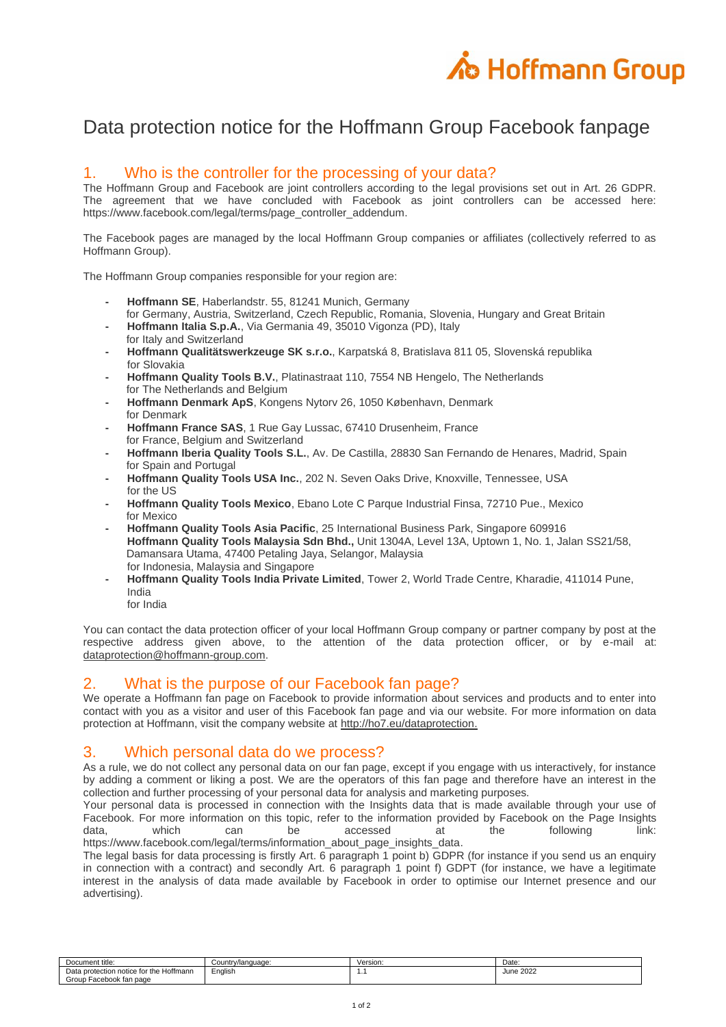

# Data protection notice for the Hoffmann Group Facebook fanpage

### 1. Who is the controller for the processing of your data?

The Hoffmann Group and Facebook are joint controllers according to the legal provisions set out in Art. 26 GDPR. The agreement that we have concluded with Facebook as joint controllers can be accessed here: [https://www.facebook.com/legal/terms/page\\_controller\\_addendum.](https://www.facebook.com/legal/terms/page_controller_addendum)

The Facebook pages are managed by the local Hoffmann Group companies or affiliates (collectively referred to as Hoffmann Group).

The Hoffmann Group companies responsible for your region are:

- **- Hoffmann SE**, Haberlandstr. 55, 81241 Munich, Germany
- for Germany, Austria, Switzerland, Czech Republic, Romania, Slovenia, Hungary and Great Britain **- Hoffmann Italia S.p.A.**, Via Germania 49, 35010 Vigonza (PD), Italy
- for Italy and Switzerland
- **- Hoffmann Qualitätswerkzeuge SK s.r.o.**, Karpatská 8, Bratislava 811 05, Slovenská republika for Slovakia
- **- Hoffmann Quality Tools B.V.**, Platinastraat 110, 7554 NB Hengelo, The Netherlands for The Netherlands and Belgium
- **- Hoffmann Denmark ApS**, Kongens Nytorv 26, 1050 København, Denmark for Denmark
- **- Hoffmann France SAS**, 1 Rue Gay Lussac, 67410 Drusenheim, France for France, Belgium and Switzerland
- **- Hoffmann Iberia Quality Tools S.L.**, Av. De Castilla, 28830 San Fernando de Henares, Madrid, Spain for Spain and Portugal
- **- Hoffmann Quality Tools USA Inc.**, 202 N. Seven Oaks Drive, Knoxville, Tennessee, USA for the US
- **- Hoffmann Quality Tools Mexico**, Ebano Lote C Parque Industrial Finsa, 72710 Pue., Mexico for Mexico
- **- Hoffmann Quality Tools Asia Pacific**, 25 International Business Park, Singapore 609916 **Hoffmann Quality Tools Malaysia Sdn Bhd.,** Unit 1304A, Level 13A, Uptown 1, No. 1, Jalan SS21/58, Damansara Utama, 47400 Petaling Jaya, Selangor, Malaysia for Indonesia, Malaysia and Singapore
- **- Hoffmann Quality Tools India Private Limited**, Tower 2, World Trade Centre, Kharadie, 411014 Pune, India
	- for India

You can contact the data protection officer of your local Hoffmann Group company or partner company by post at the respective address given above, to the attention of the data protection officer, or by e-mail at: [dataprotection@hoffmann-group.com.](mailto:dataprotection@hoffmann-group.com)

#### 2. What is the purpose of our Facebook fan page?

We operate a Hoffmann fan page on Facebook to provide information about services and products and to enter into contact with you as a visitor and user of this Facebook fan page and via our website. For more information on data protection at Hoffmann, visit the company website at [http://ho7.eu/dataprotection.](http://ho7.eu/dataprotection)

# 3. Which personal data do we process?

As a rule, we do not collect any personal data on our fan page, except if you engage with us interactively, for instance by adding a comment or liking a post. We are the operators of this fan page and therefore have an interest in the collection and further processing of your personal data for analysis and marketing purposes.

Your personal data is processed in connection with the Insights data that is made available through your use of Facebook. For more information on this topic, refer to the information provided by Facebook on the Page Insights data, which can be accessed at the following link: [https://www.facebook.com/legal/terms/information\\_about\\_page\\_insights\\_data.](https://www.facebook.com/legal/terms/information_about_page_insights_data)

The legal basis for data processing is firstly Art. 6 paragraph 1 point b) GDPR (for instance if you send us an enquiry in connection with a contract) and secondly Art. 6 paragraph 1 point f) GDPT (for instance, we have a legitimate interest in the analysis of data made available by Facebook in order to optimise our Internet presence and our advertising).

| Document title:                              | Country/language: | Version: | Date:     |
|----------------------------------------------|-------------------|----------|-----------|
| Data protection notice for the F<br>Hoffmann | Enalish           | .        | June 2022 |
| Group Facebook fan page                      |                   |          |           |